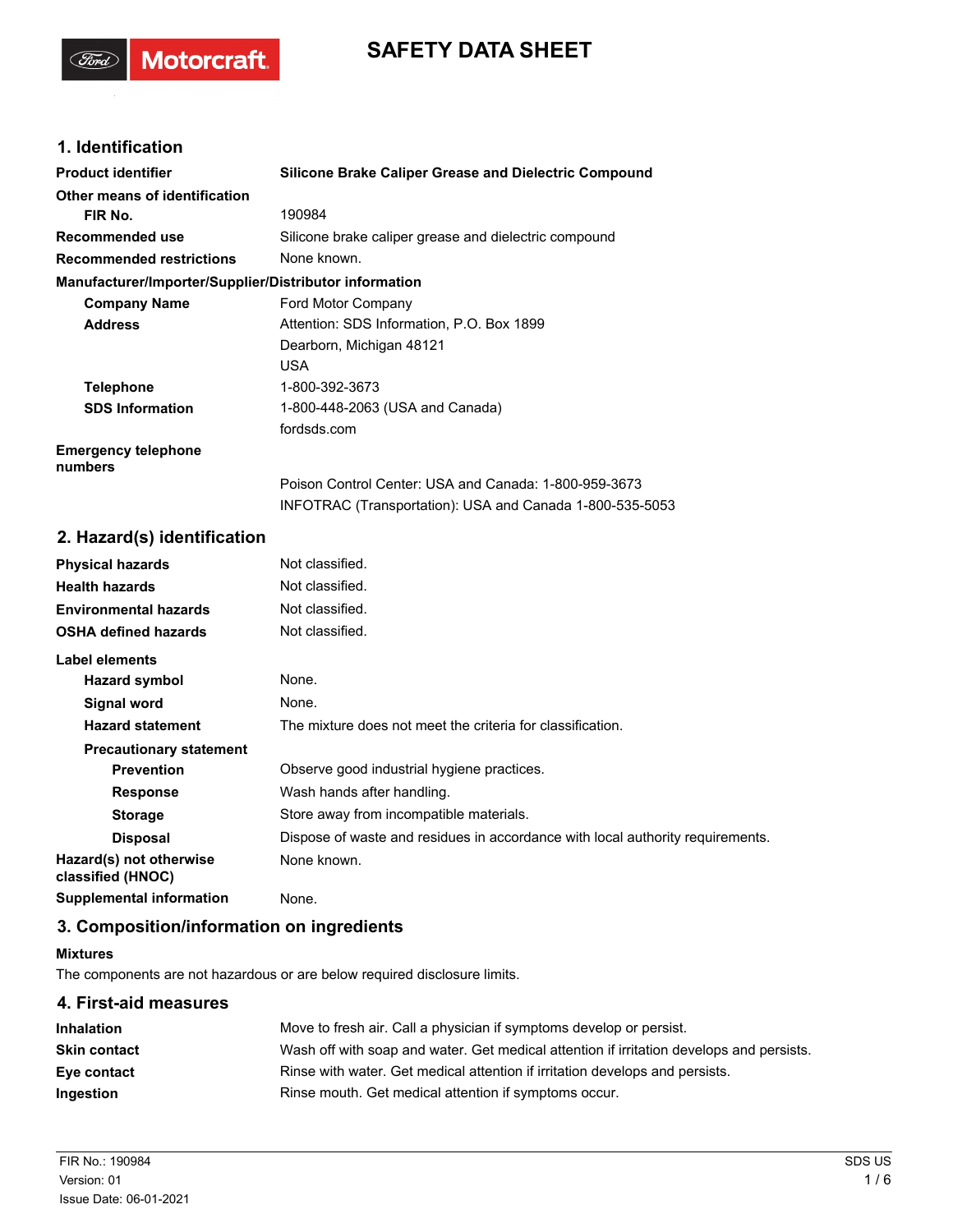# **SAFETY DATA SHEET**

# **1. Identification**

(Ford)

**Motorcraft** 

| <b>Product identifier</b>                              | <b>Silicone Brake Caliper Grease and Dielectric Compound</b> |
|--------------------------------------------------------|--------------------------------------------------------------|
| Other means of identification                          |                                                              |
| FIR No.                                                | 190984                                                       |
| Recommended use                                        | Silicone brake caliper grease and dielectric compound        |
| <b>Recommended restrictions</b>                        | None known.                                                  |
| Manufacturer/Importer/Supplier/Distributor information |                                                              |
| <b>Company Name</b>                                    | Ford Motor Company                                           |
| <b>Address</b>                                         | Attention: SDS Information, P.O. Box 1899                    |
|                                                        | Dearborn, Michigan 48121                                     |
|                                                        | <b>USA</b>                                                   |
| <b>Telephone</b>                                       | 1-800-392-3673                                               |
| <b>SDS Information</b>                                 | 1-800-448-2063 (USA and Canada)                              |
|                                                        | fordsds.com                                                  |
| <b>Emergency telephone</b><br>numbers                  |                                                              |
|                                                        | Poison Control Center: USA and Canada: 1-800-959-3673        |
|                                                        | INFOTRAC (Transportation): USA and Canada 1-800-535-5053     |

# **2. Hazard(s) identification**

| <b>Physical hazards</b>                      | Not classified.                                                                |
|----------------------------------------------|--------------------------------------------------------------------------------|
| <b>Health hazards</b>                        | Not classified.                                                                |
| <b>Environmental hazards</b>                 | Not classified.                                                                |
| <b>OSHA defined hazards</b>                  | Not classified.                                                                |
| Label elements                               |                                                                                |
| Hazard symbol                                | None.                                                                          |
| Signal word                                  | None.                                                                          |
| <b>Hazard statement</b>                      | The mixture does not meet the criteria for classification.                     |
| <b>Precautionary statement</b>               |                                                                                |
| <b>Prevention</b>                            | Observe good industrial hygiene practices.                                     |
| <b>Response</b>                              | Wash hands after handling.                                                     |
| <b>Storage</b>                               | Store away from incompatible materials.                                        |
| <b>Disposal</b>                              | Dispose of waste and residues in accordance with local authority requirements. |
| Hazard(s) not otherwise<br>classified (HNOC) | None known.                                                                    |
| <b>Supplemental information</b>              | None.                                                                          |

# **3. Composition/information on ingredients**

# **Mixtures**

The components are not hazardous or are below required disclosure limits.

# **4. First-aid measures Inhalation** Move to fresh air. Call a physician if symptoms develop or persist. **Skin contact** Wash off with soap and water. Get medical attention if irritation develops and persists. **Eye contact** Rinse with water. Get medical attention if irritation develops and persists. **Ingestion Rinse mouth. Get medical attention if symptoms occur.**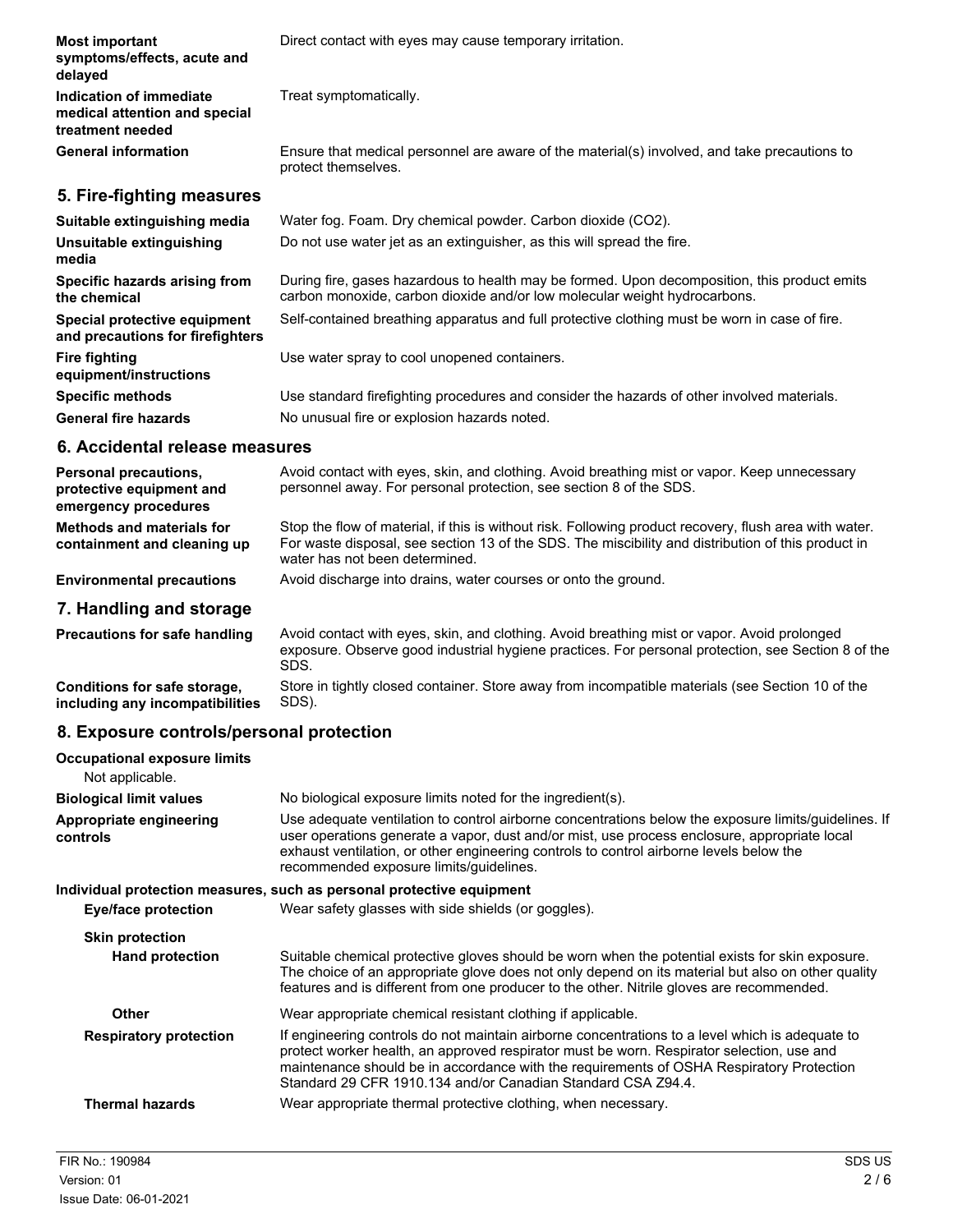| <b>Most important</b><br>symptoms/effects, acute and<br>delayed              | Direct contact with eyes may cause temporary irritation.                                                                                                                  |
|------------------------------------------------------------------------------|---------------------------------------------------------------------------------------------------------------------------------------------------------------------------|
| Indication of immediate<br>medical attention and special<br>treatment needed | Treat symptomatically.                                                                                                                                                    |
| <b>General information</b>                                                   | Ensure that medical personnel are aware of the material(s) involved, and take precautions to<br>protect themselves.                                                       |
| 5. Fire-fighting measures                                                    |                                                                                                                                                                           |
| Suitable extinguishing media                                                 | Water fog. Foam. Dry chemical powder. Carbon dioxide (CO2).                                                                                                               |
| Unsuitable extinguishing<br>media                                            | Do not use water jet as an extinguisher, as this will spread the fire.                                                                                                    |
| Specific hazards arising from<br>the chemical                                | During fire, gases hazardous to health may be formed. Upon decomposition, this product emits<br>carbon monoxide, carbon dioxide and/or low molecular weight hydrocarbons. |
| Special protective equipment<br>and precautions for firefighters             | Self-contained breathing apparatus and full protective clothing must be worn in case of fire.                                                                             |
| <b>Fire fighting</b><br>equipment/instructions                               | Use water spray to cool unopened containers.                                                                                                                              |
| <b>Specific methods</b>                                                      | Use standard firefighting procedures and consider the hazards of other involved materials.                                                                                |
| <b>General fire hazards</b>                                                  | No unusual fire or explosion hazards noted.                                                                                                                               |
| 6. Accidental release measures                                               |                                                                                                                                                                           |

| <b>Personal precautions,</b><br>protective equipment and<br>emergency procedures | Avoid contact with eyes, skin, and clothing. Avoid breathing mist or vapor. Keep unnecessary<br>personnel away. For personal protection, see section 8 of the SDS.                                                                             |
|----------------------------------------------------------------------------------|------------------------------------------------------------------------------------------------------------------------------------------------------------------------------------------------------------------------------------------------|
| Methods and materials for<br>containment and cleaning up                         | Stop the flow of material, if this is without risk. Following product recovery, flush area with water.<br>For waste disposal, see section 13 of the SDS. The miscibility and distribution of this product in<br>water has not been determined. |
| <b>Environmental precautions</b>                                                 | Avoid discharge into drains, water courses or onto the ground.                                                                                                                                                                                 |
| 7. Handling and storage                                                          |                                                                                                                                                                                                                                                |

Avoid contact with eyes, skin, and clothing. Avoid breathing mist or vapor. Avoid prolonged exposure. Observe good industrial hygiene practices. For personal protection, see Section 8 of the SDS. **Precautions for safe handling** Store in tightly closed container. Store away from incompatible materials (see Section 10 of the SDS). **Conditions for safe storage, including any incompatibilities**

# **8. Exposure controls/personal protection**

| <b>Occupational exposure limits</b><br>Not applicable. |                                                                                                                                                                                                                                                                                                                                                          |
|--------------------------------------------------------|----------------------------------------------------------------------------------------------------------------------------------------------------------------------------------------------------------------------------------------------------------------------------------------------------------------------------------------------------------|
| <b>Biological limit values</b>                         | No biological exposure limits noted for the ingredient(s).                                                                                                                                                                                                                                                                                               |
| Appropriate engineering<br>controls                    | Use adequate ventilation to control airborne concentrations below the exposure limits/guidelines. If<br>user operations generate a vapor, dust and/or mist, use process enclosure, appropriate local<br>exhaust ventilation, or other engineering controls to control airborne levels below the<br>recommended exposure limits/guidelines.               |
|                                                        | Individual protection measures, such as personal protective equipment                                                                                                                                                                                                                                                                                    |
| Eye/face protection                                    | Wear safety glasses with side shields (or goggles).                                                                                                                                                                                                                                                                                                      |
| <b>Skin protection</b>                                 |                                                                                                                                                                                                                                                                                                                                                          |
| <b>Hand protection</b>                                 | Suitable chemical protective gloves should be worn when the potential exists for skin exposure.<br>The choice of an appropriate glove does not only depend on its material but also on other quality<br>features and is different from one producer to the other. Nitrile gloves are recommended.                                                        |
| Other                                                  | Wear appropriate chemical resistant clothing if applicable.                                                                                                                                                                                                                                                                                              |
| <b>Respiratory protection</b>                          | If engineering controls do not maintain airborne concentrations to a level which is adequate to<br>protect worker health, an approved respirator must be worn. Respirator selection, use and<br>maintenance should be in accordance with the requirements of OSHA Respiratory Protection<br>Standard 29 CFR 1910.134 and/or Canadian Standard CSA Z94.4. |
| <b>Thermal hazards</b>                                 | Wear appropriate thermal protective clothing, when necessary.                                                                                                                                                                                                                                                                                            |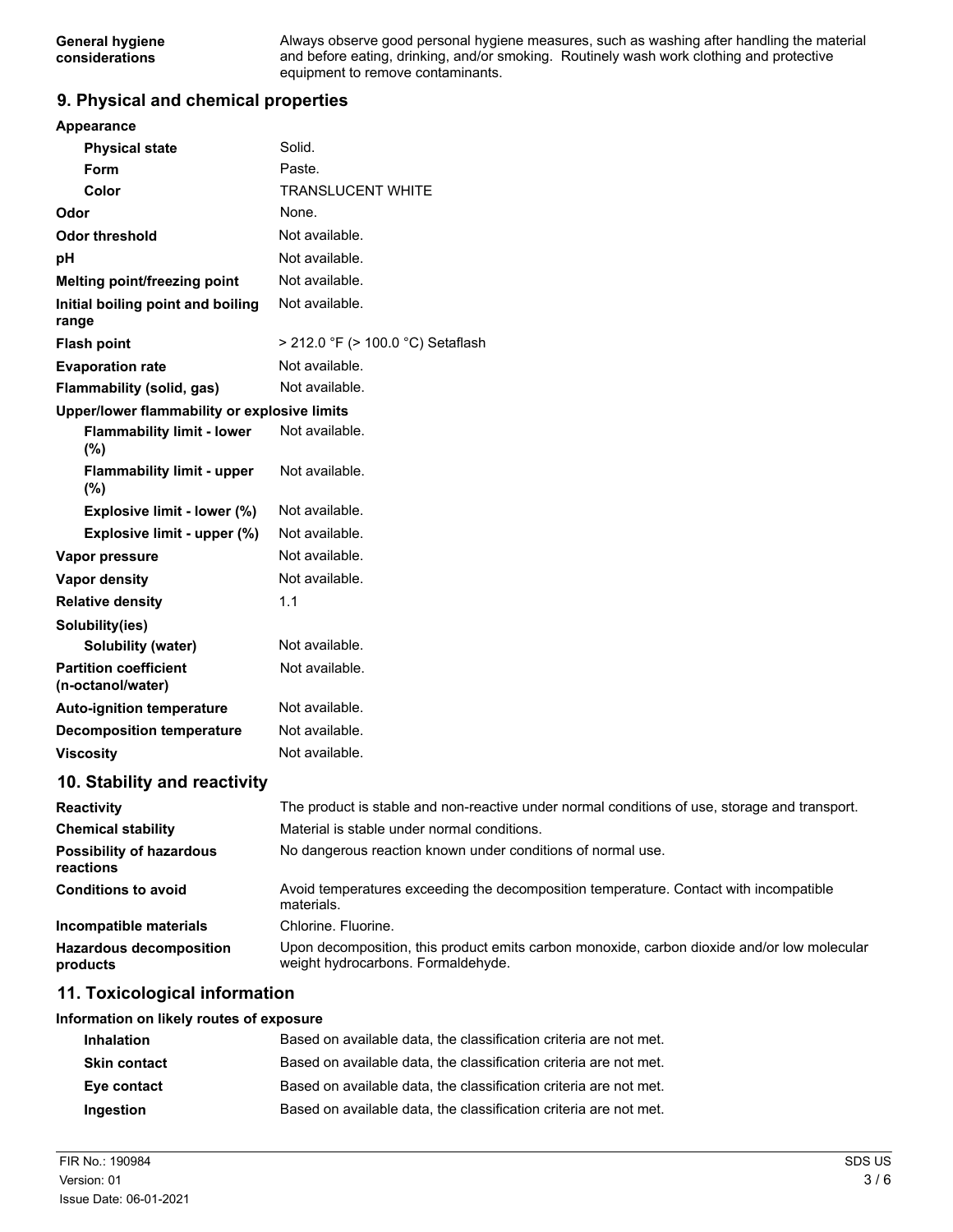Always observe good personal hygiene measures, such as washing after handling the material and before eating, drinking, and/or smoking. Routinely wash work clothing and protective equipment to remove contaminants.

# **9. Physical and chemical properties**

| Appearance                                        |                                                                                                                                   |
|---------------------------------------------------|-----------------------------------------------------------------------------------------------------------------------------------|
| <b>Physical state</b>                             | Solid.                                                                                                                            |
| <b>Form</b>                                       | Paste.                                                                                                                            |
| Color                                             | TRANSLUCENT WHITE                                                                                                                 |
| Odor                                              | None.                                                                                                                             |
| <b>Odor threshold</b>                             | Not available.                                                                                                                    |
| pH                                                | Not available.                                                                                                                    |
| Melting point/freezing point                      | Not available.                                                                                                                    |
| Initial boiling point and boiling<br>range        | Not available.                                                                                                                    |
| <b>Flash point</b>                                | $>$ 212.0 °F ( $>$ 100.0 °C) Setaflash                                                                                            |
| <b>Evaporation rate</b>                           | Not available.                                                                                                                    |
| Flammability (solid, gas)                         | Not available.                                                                                                                    |
| Upper/lower flammability or explosive limits      |                                                                                                                                   |
| <b>Flammability limit - lower</b><br>(%)          | Not available.                                                                                                                    |
| <b>Flammability limit - upper</b><br>(%)          | Not available.                                                                                                                    |
| Explosive limit - lower (%)                       | Not available.                                                                                                                    |
| Explosive limit - upper (%)                       | Not available.                                                                                                                    |
| Vapor pressure                                    | Not available.                                                                                                                    |
| <b>Vapor density</b>                              | Not available.                                                                                                                    |
| <b>Relative density</b>                           | 1.1                                                                                                                               |
| Solubility(ies)                                   |                                                                                                                                   |
| Solubility (water)                                | Not available.                                                                                                                    |
| <b>Partition coefficient</b><br>(n-octanol/water) | Not available.                                                                                                                    |
| <b>Auto-ignition temperature</b>                  | Not available.                                                                                                                    |
| <b>Decomposition temperature</b>                  | Not available.                                                                                                                    |
| <b>Viscosity</b>                                  | Not available.                                                                                                                    |
| 10. Stability and reactivity                      |                                                                                                                                   |
| <b>Reactivity</b>                                 | The product is stable and non-reactive under normal conditions of use, storage and transport.                                     |
| <b>Chemical stability</b>                         | Material is stable under normal conditions.                                                                                       |
| <b>Possibility of hazardous</b><br>reactions      | No dangerous reaction known under conditions of normal use.                                                                       |
| <b>Conditions to avoid</b>                        | Avoid temperatures exceeding the decomposition temperature. Contact with incompatible<br>materials.                               |
| Incompatible materials                            | Chlorine. Fluorine.                                                                                                               |
| <b>Hazardous decomposition</b><br>products        | Upon decomposition, this product emits carbon monoxide, carbon dioxide and/or low molecular<br>weight hydrocarbons. Formaldehyde. |
| 11. Toxicological information                     |                                                                                                                                   |
| Information on likely routes of exposure          |                                                                                                                                   |
| <b>Inhalation</b>                                 | Based on available data, the classification criteria are not met.                                                                 |
| <b>Skin contact</b>                               | Based on available data, the classification criteria are not met.                                                                 |

| Eye contact | Based on available data, the classification criteria are not met. |  |
|-------------|-------------------------------------------------------------------|--|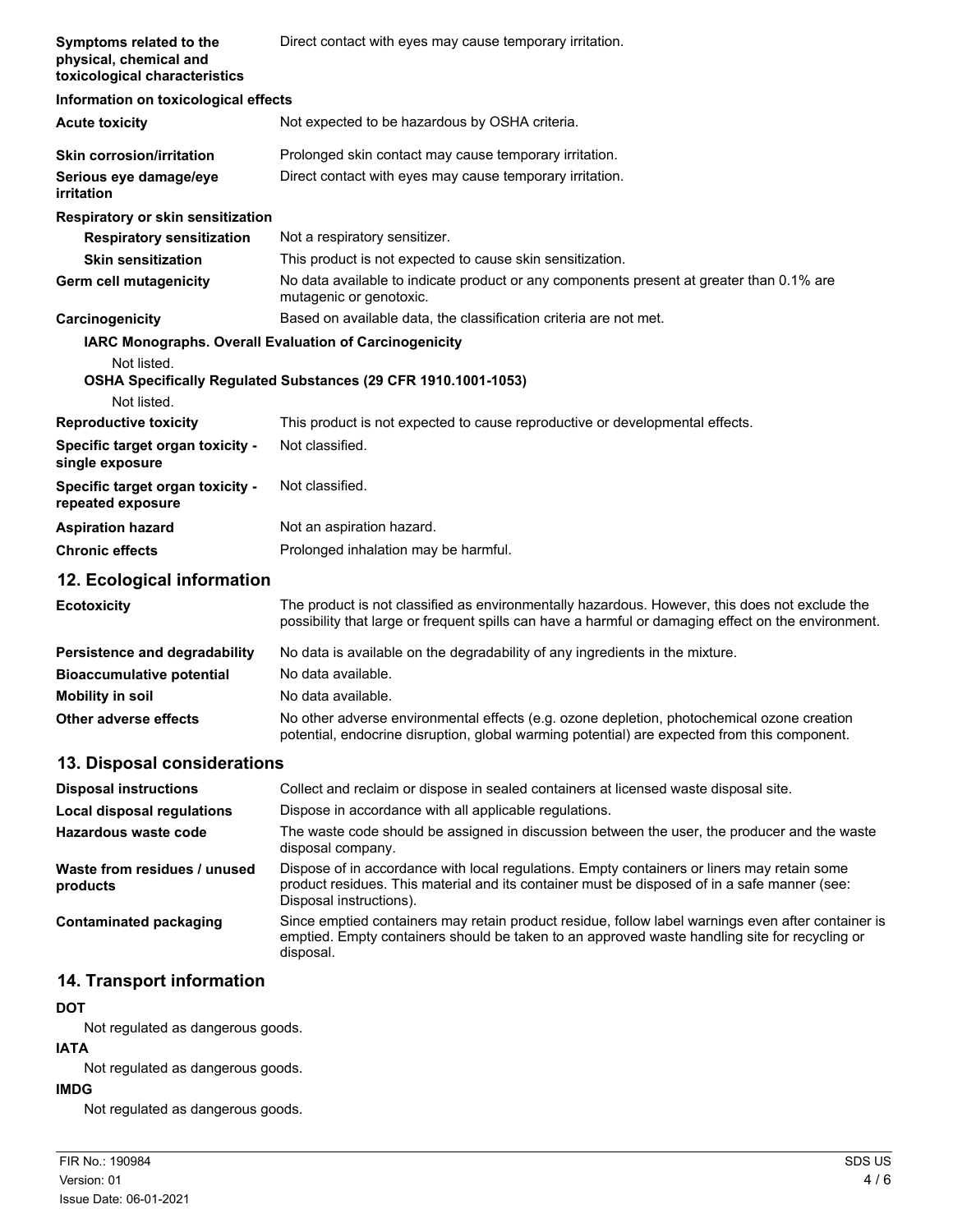| Symptoms related to the<br>physical, chemical and<br>toxicological characteristics | Direct contact with eyes may cause temporary irritation.                                                                                                                                                               |
|------------------------------------------------------------------------------------|------------------------------------------------------------------------------------------------------------------------------------------------------------------------------------------------------------------------|
| Information on toxicological effects                                               |                                                                                                                                                                                                                        |
| <b>Acute toxicity</b>                                                              | Not expected to be hazardous by OSHA criteria.                                                                                                                                                                         |
| <b>Skin corrosion/irritation</b>                                                   | Prolonged skin contact may cause temporary irritation.                                                                                                                                                                 |
| Serious eye damage/eye<br>irritation                                               | Direct contact with eyes may cause temporary irritation.                                                                                                                                                               |
| Respiratory or skin sensitization                                                  |                                                                                                                                                                                                                        |
| <b>Respiratory sensitization</b>                                                   | Not a respiratory sensitizer.                                                                                                                                                                                          |
| <b>Skin sensitization</b>                                                          | This product is not expected to cause skin sensitization.                                                                                                                                                              |
| Germ cell mutagenicity                                                             | No data available to indicate product or any components present at greater than 0.1% are<br>mutagenic or genotoxic.                                                                                                    |
| Carcinogenicity                                                                    | Based on available data, the classification criteria are not met.                                                                                                                                                      |
| <b>IARC Monographs. Overall Evaluation of Carcinogenicity</b>                      |                                                                                                                                                                                                                        |
| Not listed.                                                                        | OSHA Specifically Regulated Substances (29 CFR 1910.1001-1053)                                                                                                                                                         |
| Not listed.                                                                        |                                                                                                                                                                                                                        |
| <b>Reproductive toxicity</b>                                                       | This product is not expected to cause reproductive or developmental effects.                                                                                                                                           |
| Specific target organ toxicity -<br>single exposure                                | Not classified.                                                                                                                                                                                                        |
| Specific target organ toxicity -<br>repeated exposure                              | Not classified.                                                                                                                                                                                                        |
| <b>Aspiration hazard</b>                                                           | Not an aspiration hazard.                                                                                                                                                                                              |
| <b>Chronic effects</b>                                                             | Prolonged inhalation may be harmful.                                                                                                                                                                                   |
| 12. Ecological information                                                         |                                                                                                                                                                                                                        |
| <b>Ecotoxicity</b>                                                                 | The product is not classified as environmentally hazardous. However, this does not exclude the<br>possibility that large or frequent spills can have a harmful or damaging effect on the environment.                  |
| Persistence and degradability                                                      | No data is available on the degradability of any ingredients in the mixture.                                                                                                                                           |
| <b>Bioaccumulative potential</b>                                                   | No data available.                                                                                                                                                                                                     |
| <b>Mobility in soil</b>                                                            | No data available.                                                                                                                                                                                                     |
| Other adverse effects                                                              | No other adverse environmental effects (e.g. ozone depletion, photochemical ozone creation<br>potential, endocrine disruption, global warming potential) are expected from this component.                             |
| 13. Disposal considerations                                                        |                                                                                                                                                                                                                        |
| <b>Disposal instructions</b>                                                       | Collect and reclaim or dispose in sealed containers at licensed waste disposal site.                                                                                                                                   |
| <b>Local disposal regulations</b>                                                  | Dispose in accordance with all applicable regulations.                                                                                                                                                                 |
| Hazardous waste code                                                               | The waste code should be assigned in discussion between the user, the producer and the waste<br>disposal company.                                                                                                      |
| Waste from residues / unused<br>products                                           | Dispose of in accordance with local regulations. Empty containers or liners may retain some<br>product residues. This material and its container must be disposed of in a safe manner (see:<br>Disposal instructions). |
| <b>Contaminated packaging</b>                                                      | Since emptied containers may retain product residue, follow label warnings even after container is<br>emptied. Empty containers should be taken to an approved waste handling site for recycling or<br>disposal.       |
|                                                                                    |                                                                                                                                                                                                                        |

# **14. Transport information**

# **DOT**

Not regulated as dangerous goods.

# **IATA**

Not regulated as dangerous goods.

### **IMDG**

Not regulated as dangerous goods.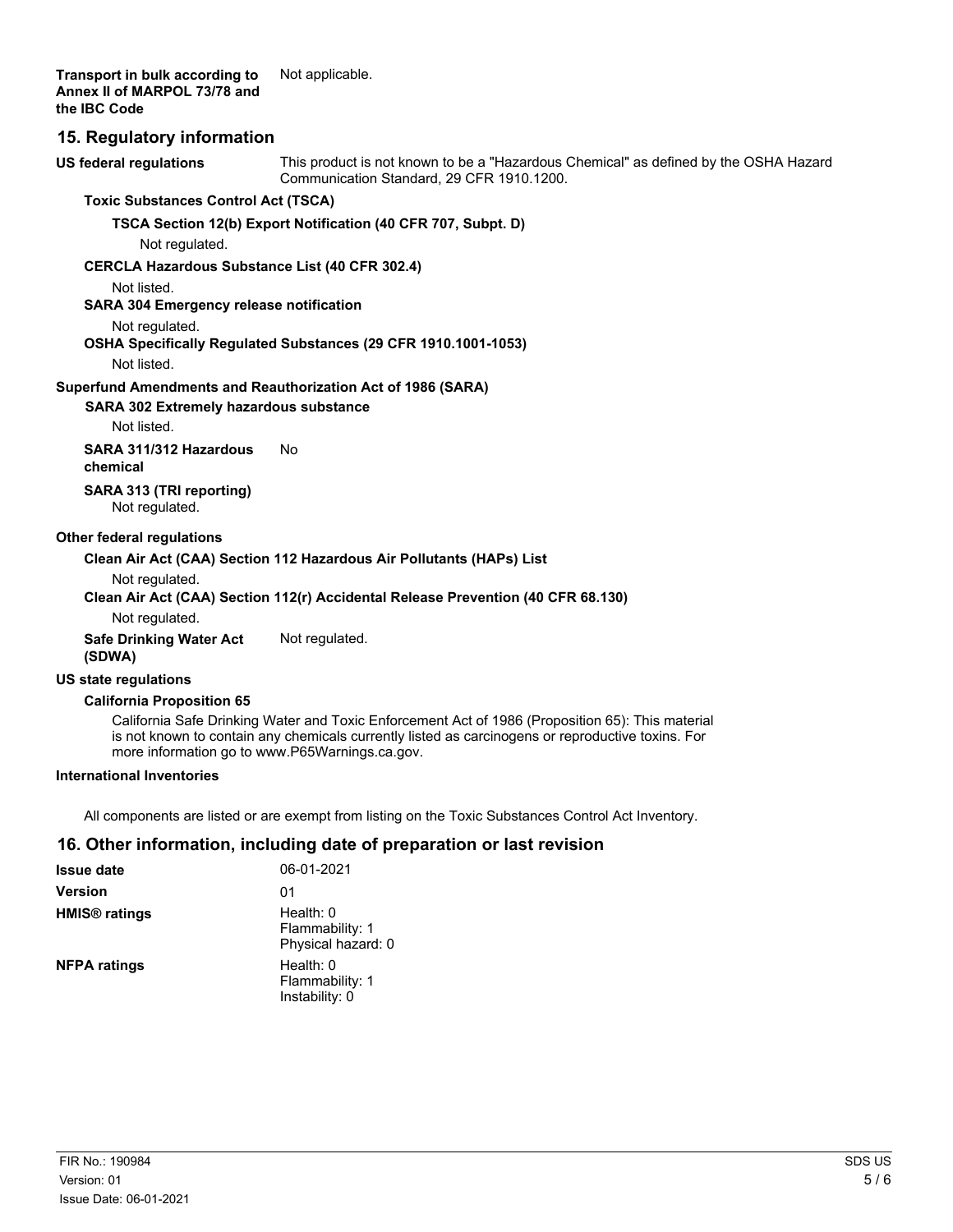**Transport in bulk according to** Not applicable. **Annex II of MARPOL 73/78 and the IBC Code**

# **15. Regulatory information**

This product is not known to be a "Hazardous Chemical" as defined by the OSHA Hazard Communication Standard, 29 CFR 1910.1200. **US federal regulations**

#### **Toxic Substances Control Act (TSCA)**

**TSCA Section 12(b) Export Notification (40 CFR 707, Subpt. D)**

Not regulated.

### **CERCLA Hazardous Substance List (40 CFR 302.4)**

Not listed.

**SARA 304 Emergency release notification**

### Not regulated.

### **OSHA Specifically Regulated Substances (29 CFR 1910.1001-1053)**

Not listed.

### **Superfund Amendments and Reauthorization Act of 1986 (SARA)**

**SARA 302 Extremely hazardous substance**

Not listed.

**SARA 311/312 Hazardous** No **chemical**

**SARA 313 (TRI reporting)** Not regulated.

### **Other federal regulations**

### **Clean Air Act (CAA) Section 112 Hazardous Air Pollutants (HAPs) List**

Not regulated.

# **Clean Air Act (CAA) Section 112(r) Accidental Release Prevention (40 CFR 68.130)**

Not regulated.

**Safe Drinking Water Act** Not regulated. **(SDWA)**

# **US state regulations**

# **California Proposition 65**

California Safe Drinking Water and Toxic Enforcement Act of 1986 (Proposition 65): This material is not known to contain any chemicals currently listed as carcinogens or reproductive toxins. For more information go to www.P65Warnings.ca.gov.

#### **International Inventories**

All components are listed or are exempt from listing on the Toxic Substances Control Act Inventory.

# **16. Other information, including date of preparation or last revision**

| <b>Issue date</b>               | 06-01-2021                                         |
|---------------------------------|----------------------------------------------------|
| <b>Version</b>                  | 01                                                 |
| <b>HMIS<sup>®</sup></b> ratings | Health: 0<br>Flammability: 1<br>Physical hazard: 0 |
| <b>NFPA ratings</b>             | Health: 0<br>Flammability: 1<br>Instability: 0     |